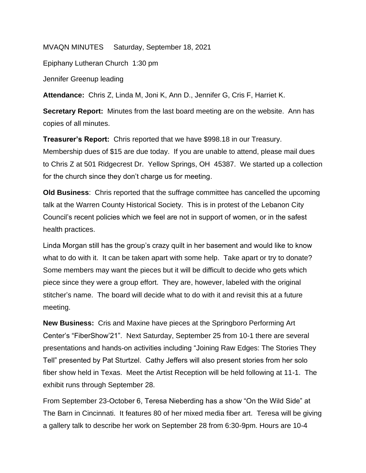MVAQN MINUTES Saturday, September 18, 2021

Epiphany Lutheran Church 1:30 pm

Jennifer Greenup leading

**Attendance:** Chris Z, Linda M, Joni K, Ann D., Jennifer G, Cris F, Harriet K.

**Secretary Report:** Minutes from the last board meeting are on the website. Ann has copies of all minutes.

**Treasurer's Report:** Chris reported that we have \$998.18 in our Treasury. Membership dues of \$15 are due today. If you are unable to attend, please mail dues to Chris Z at 501 Ridgecrest Dr. Yellow Springs, OH 45387. We started up a collection for the church since they don't charge us for meeting.

**Old Business**: Chris reported that the suffrage committee has cancelled the upcoming talk at the Warren County Historical Society. This is in protest of the Lebanon City Council's recent policies which we feel are not in support of women, or in the safest health practices.

Linda Morgan still has the group's crazy quilt in her basement and would like to know what to do with it. It can be taken apart with some help. Take apart or try to donate? Some members may want the pieces but it will be difficult to decide who gets which piece since they were a group effort. They are, however, labeled with the original stitcher's name. The board will decide what to do with it and revisit this at a future meeting.

**New Business:** Cris and Maxine have pieces at the Springboro Performing Art Center's "FiberShow'21". Next Saturday, September 25 from 10-1 there are several presentations and hands-on activities including "Joining Raw Edges: The Stories They Tell" presented by Pat Sturtzel. Cathy Jeffers will also present stories from her solo fiber show held in Texas. Meet the Artist Reception will be held following at 11-1. The exhibit runs through September 28.

From September 23-October 6, Teresa Nieberding has a show "On the Wild Side" at The Barn in Cincinnati. It features 80 of her mixed media fiber art. Teresa will be giving a gallery talk to describe her work on September 28 from 6:30-9pm. Hours are 10-4